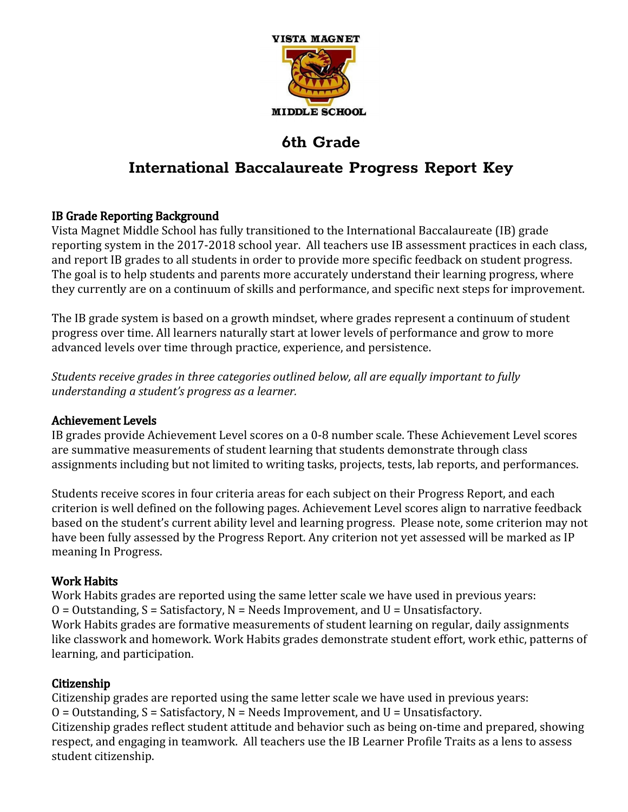

# **International Baccalaureate Progress Report Key**

## IB Grade Reporting Background

Vista Magnet Middle School has fully transitioned to the International Baccalaureate (IB) grade reporting system in the 2017-2018 school year. All teachers use IB assessment practices in each class, and report IB grades to all students in order to provide more specific feedback on student progress. The goal is to help students and parents more accurately understand their learning progress, where they currently are on a continuum of skills and performance, and specific next steps for improvement.

The IB grade system is based on a growth mindset, where grades represent a continuum of student progress over time. All learners naturally start at lower levels of performance and grow to more advanced levels over time through practice, experience, and persistence.

*Students receive grades in three categories outlined below, all are equally important to fully understanding a student's progress as a learner.*

## Achievement Levels

IB grades provide Achievement Level scores on a 0-8 number scale. These Achievement Level scores are summative measurements of student learning that students demonstrate through class assignments including but not limited to writing tasks, projects, tests, lab reports, and performances.

Students receive scores in four criteria areas for each subject on their Progress Report, and each criterion is well defined on the following pages. Achievement Level scores align to narrative feedback based on the student's current ability level and learning progress. Please note, some criterion may not have been fully assessed by the Progress Report. Any criterion not yet assessed will be marked as IP meaning In Progress.

## Work Habits

Work Habits grades are reported using the same letter scale we have used in previous years:  $O = 0$ utstanding,  $S = S$ atisfactory,  $N = Needs$  Improvement, and  $U = U$ nsatisfactory. Work Habits grades are formative measurements of student learning on regular, daily assignments like classwork and homework. Work Habits grades demonstrate student effort, work ethic, patterns of learning, and participation.

## Citizenship

Citizenship grades are reported using the same letter scale we have used in previous years:  $O =$  Outstanding,  $S =$  Satisfactory,  $N =$  Needs Improvement, and  $U =$  Unsatisfactory. Citizenship grades reflect student attitude and behavior such as being on-time and prepared, showing respect, and engaging in teamwork. All teachers use the IB Learner Profile Traits as a lens to assess student citizenship.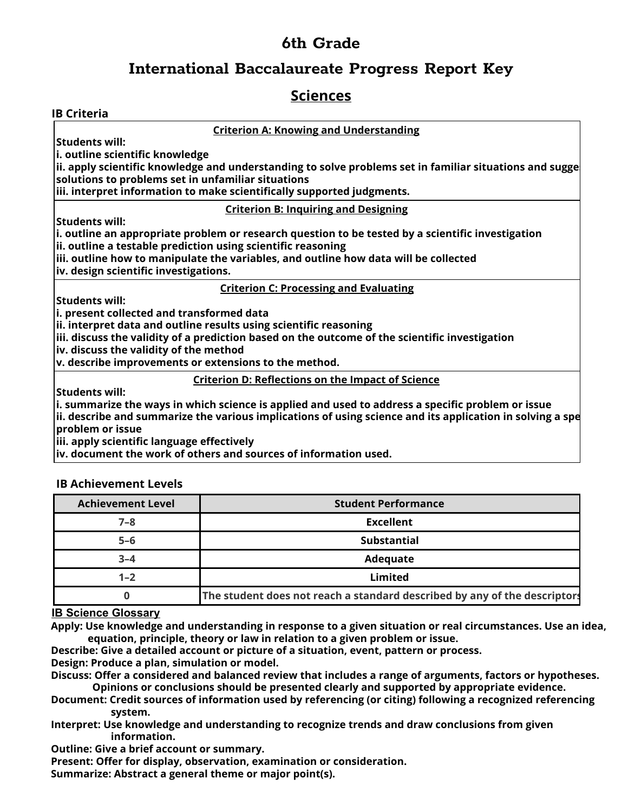## **International Baccalaureate Progress Report Key**

## **Sciences**

| <b>Criterion A: Knowing and Understanding</b><br><b>Students will:</b>                                                                                                |
|-----------------------------------------------------------------------------------------------------------------------------------------------------------------------|
|                                                                                                                                                                       |
|                                                                                                                                                                       |
| i. outline scientific knowledge                                                                                                                                       |
| $\vert$ ii. apply scientific knowledge and understanding to solve problems set in familiar situations and sugge<br>solutions to problems set in unfamiliar situations |
| iii. interpret information to make scientifically supported judgments.                                                                                                |
| <b>Criterion B: Inquiring and Designing</b>                                                                                                                           |
| <b>Students will:</b>                                                                                                                                                 |
| $ i$ . outline an appropriate problem or research question to be tested by a scientific investigation                                                                 |
| ii. outline a testable prediction using scientific reasoning                                                                                                          |
| $\vert$ iii. outline how to manipulate the variables, and outline how data will be collected                                                                          |
| iv. design scientific investigations.                                                                                                                                 |
| <b>Criterion C: Processing and Evaluating</b>                                                                                                                         |
| <b>Students will:</b>                                                                                                                                                 |
| i. present collected and transformed data                                                                                                                             |
| ii. interpret data and outline results using scientific reasoning                                                                                                     |
| iii. discuss the validity of a prediction based on the outcome of the scientific investigation                                                                        |
| iv. discuss the validity of the method                                                                                                                                |
| v. describe improvements or extensions to the method.                                                                                                                 |
| <b>Criterion D: Reflections on the Impact of Science</b>                                                                                                              |
| <b>Students will:</b>                                                                                                                                                 |
| $ i$ . summarize the ways in which science is applied and used to address a specific problem or issue                                                                 |
| $\vert$ ii. describe and summarize the various implications of using science and its application in solving a spe<br>problem or issue                                 |
| iii. apply scientific language effectively                                                                                                                            |
| iv. document the work of others and sources of information used.                                                                                                      |

### **IB Achievement Levels**

| <b>Achievement Level</b> | <b>Student Performance</b>                                                |
|--------------------------|---------------------------------------------------------------------------|
| $7 - 8$                  | Excellent                                                                 |
| $5 - 6$                  | <b>Substantial</b>                                                        |
| $3 - 4$                  | Adequate                                                                  |
| $1 - 2$                  | Limited                                                                   |
|                          | The student does not reach a standard described by any of the descriptors |

### **IB Science Glossary**

Apply: Use knowledge and understanding in response to a given situation or real circumstances. Use an idea, **equation, principle, theory or law in relation to a given problem or issue.**

**Describe: Give a detailed account or picture of a situation, event, pattern or process. Design: Produce a plan, simulation or model.**

**Discuss: Offer a considered and balanced review that includes a range of arguments, factors or hypotheses. Opinions or conclusions should be presented clearly and supported by appropriate evidence.**

- **Document: Credit sources of information used by referencing (or citing) following a recognized referencing system.**
- **Interpret: Use knowledge and understanding to recognize trends and draw conclusions from given information.**

**Outline: Give a brief account or summary.**

**Present: Offer for display, observation, examination or consideration.**

**Summarize: Abstract a general theme or major point(s).**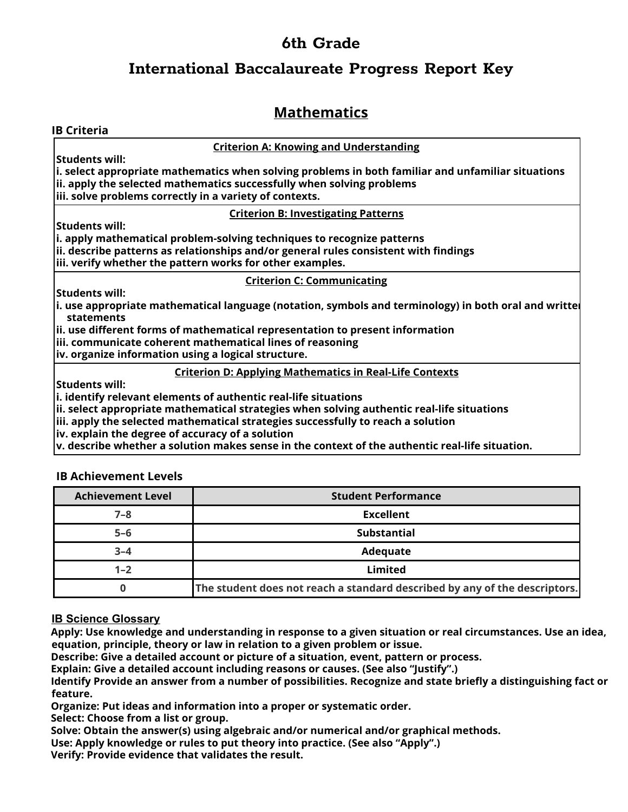# **International Baccalaureate Progress Report Key**

# **Mathematics**

| <b>IB Criteria</b>                                                                                                           |
|------------------------------------------------------------------------------------------------------------------------------|
| <b>Criterion A: Knowing and Understanding</b>                                                                                |
| <b>Students will:</b>                                                                                                        |
| $\vert$ i. select appropriate mathematics when solving problems in both familiar and unfamiliar situations                   |
| ii. apply the selected mathematics successfully when solving problems                                                        |
| iii. solve problems correctly in a variety of contexts.                                                                      |
| <b>Criterion B: Investigating Patterns</b>                                                                                   |
| <b>Students will:</b>                                                                                                        |
| i. apply mathematical problem-solving techniques to recognize patterns                                                       |
| ii. describe patterns as relationships and/or general rules consistent with findings                                         |
| iii. verify whether the pattern works for other examples.                                                                    |
| <b>Criterion C: Communicating</b>                                                                                            |
| <b>Students will:</b>                                                                                                        |
| $\left  \text{i} \right.$ use appropriate mathematical language (notation, symbols and terminology) in both oral and writter |
| statements                                                                                                                   |
| $\vert$ ii. use different forms of mathematical representation to present information                                        |
| iii. communicate coherent mathematical lines of reasoning                                                                    |
| iv. organize information using a logical structure.                                                                          |
| <b>Criterion D: Applying Mathematics in Real-Life Contexts</b>                                                               |
| <b>Students will:</b>                                                                                                        |
| $ i$ . identify relevant elements of authentic real-life situations                                                          |
| $\left $ ii. select appropriate mathematical strategies when solving authentic real-life situations                          |
| $\left  \right $ iii. apply the selected mathematical strategies successfully to reach a solution                            |
| iv. explain the degree of accuracy of a solution                                                                             |
| $\vert$ v. describe whether a solution makes sense in the context of the authentic real-life situation.                      |

### **IB Achievement Levels**

| <b>Achievement Level</b> | <b>Student Performance</b>                                                 |
|--------------------------|----------------------------------------------------------------------------|
| $7 - 8$                  | <b>Excellent</b>                                                           |
| $5-6$                    | <b>Substantial</b>                                                         |
| $3 - 4$                  | Adequate                                                                   |
| $1 - 2$                  | <b>Limited</b>                                                             |
|                          | The student does not reach a standard described by any of the descriptors. |

### **IB Science Glossary**

Apply: Use knowledge and understanding in response to a given situation or real circumstances. Use an idea, **equation, principle, theory or law in relation to a given problem or issue.**

**Describe: Give a detailed account or picture of a situation, event, pattern or process.**

**Explain: Give a detailed account including reasons or causes. (See also "Justify".)**

Identify Provide an answer from a number of possibilities. Recognize and state briefly a distinguishing fact or **feature.**

**Organize: Put ideas and information into a proper or systematic order.**

**Select: Choose from a list or group.**

**Solve: Obtain the answer(s) using algebraic and/or numerical and/or graphical methods.**

**Use: Apply knowledge or rules to put theory into practice. (See also "Apply".)**

**Verify: Provide evidence that validates the result.**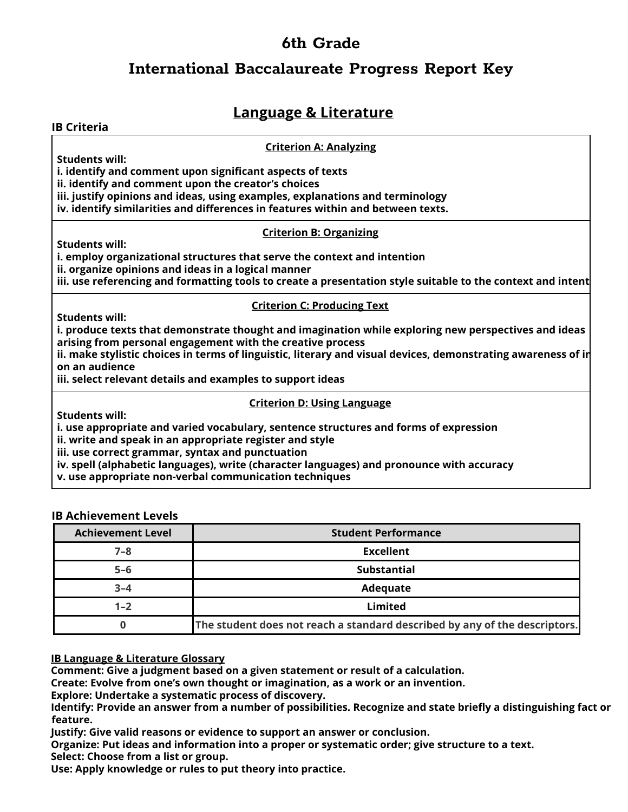## **International Baccalaureate Progress Report Key**

## **Language & Literature**

### **Criterion A: Analyzing**

**Students will:**

**IB Criteria**

**i. identify and comment upon significant aspects of texts**

**ii. identify and comment upon the creator's choices**

**iii. justify opinions and ideas, using examples, explanations and terminology**

**iv. identify similarities and differences in features within and between texts.**

### **Criterion B: Organizing**

**Students will:**

**i. employ organizational structures that serve the context and intention**

**ii. organize opinions and ideas in a logical manner**

iii. use referencing and formatting tools to create a presentation style suitable to the context and intent

### **Criterion C: Producing Text**

**Students will:**

**i. produce texts that demonstrate thought and imagination while exploring new perspectives and ideas arising from personal engagement with the creative process**

**ii. make stylistic choices in terms of linguistic, literary and visual devices, demonstrating awareness of im on an audience**

**iii. select relevant details and examples to support ideas**

### **Criterion D: Using Language**

**Students will:**

**i. use appropriate and varied vocabulary, sentence structures and forms of expression**

**ii. write and speak in an appropriate register and style**

**iii. use correct grammar, syntax and punctuation**

**iv. spell (alphabetic languages), write (character languages) and pronounce with accuracy**

**v. use appropriate non-verbal communication techniques**

### **IB Achievement Levels**

| <b>Achievement Level</b> | <b>Student Performance</b>                                                 |
|--------------------------|----------------------------------------------------------------------------|
| 7–8                      | <b>Excellent</b>                                                           |
| $5 - 6$                  | <b>Substantial</b>                                                         |
| $3 - 4$                  | <b>Adequate</b>                                                            |
| $1 - 2$                  | Limited                                                                    |
|                          | The student does not reach a standard described by any of the descriptors. |

**IB Language & Literature Glossary**

**Comment: Give a judgment based on a given statement or result of a calculation.**

**Create: Evolve from one's own thought or imagination, as a work or an invention.**

**Explore: Undertake a systematic process of discovery.**

Identify: Provide an answer from a number of possibilities. Recognize and state briefly a distinguishing fact or **feature.**

**Justify: Give valid reasons or evidence to support an answer or conclusion.**

**Organize: Put ideas and information into a proper or systematic order; give structure to a text.**

**Select: Choose from a list or group.**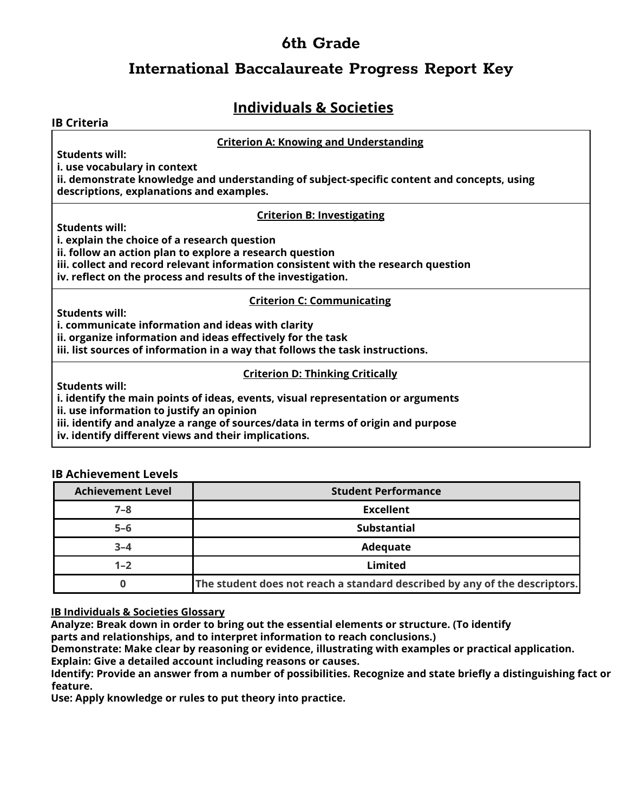## **International Baccalaureate Progress Report Key**

# **Individuals & Societies**

| <b>IB Criteria</b>                                                                          |
|---------------------------------------------------------------------------------------------|
| <b>Criterion A: Knowing and Understanding</b>                                               |
| <b>Students will:</b>                                                                       |
| i. use vocabulary in context                                                                |
| ii. demonstrate knowledge and understanding of subject-specific content and concepts, using |
| descriptions, explanations and examples.                                                    |
| <b>Criterion B: Investigating</b>                                                           |
| <b>Students will:</b>                                                                       |
| i. explain the choice of a research question                                                |
| ii. follow an action plan to explore a research question                                    |
| iii. collect and record relevant information consistent with the research question          |
| iv. reflect on the process and results of the investigation.                                |
| <b>Criterion C: Communicating</b>                                                           |
| <b>Students will:</b>                                                                       |
| i. communicate information and ideas with clarity                                           |
| ii. organize information and ideas effectively for the task                                 |
| iii. list sources of information in a way that follows the task instructions.               |
| <b>Criterion D: Thinking Critically</b>                                                     |
| <b>Students will:</b>                                                                       |
| i. identify the main points of ideas, events, visual representation or arguments            |
| ii. use information to justify an opinion                                                   |
| iii. identify and analyze a range of sources/data in terms of origin and purpose            |
| iv. identify different views and their implications.                                        |

### **IB Achievement Levels**

| <b>Achievement Level</b> | <b>Student Performance</b>                                                 |
|--------------------------|----------------------------------------------------------------------------|
| $7 - 8$                  | Excellent                                                                  |
| $5 - 6$                  | <b>Substantial</b>                                                         |
| $3 - 4$                  | Adequate                                                                   |
| $1 - 2$                  | Limited                                                                    |
|                          | The student does not reach a standard described by any of the descriptors. |

**IB Individuals & Societies Glossary**

**Analyze: Break down in order to bring out the essential elements or structure. (To identify**

**parts and relationships, and to interpret information to reach conclusions.)**

**Demonstrate: Make clear by reasoning or evidence, illustrating with examples or practical application. Explain: Give a detailed account including reasons or causes.**

Identify: Provide an answer from a number of possibilities. Recognize and state briefly a distinguishing fact or **feature.**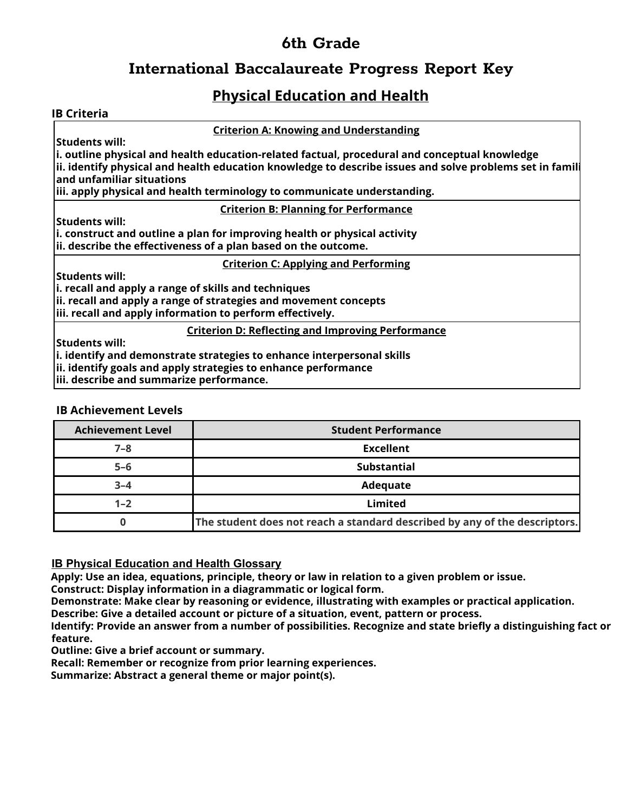# **International Baccalaureate Progress Report Key**

# **Physical Education and Health**

### **IB Criteria**

**Criterion A: Knowing and Understanding**

**Students will:**

**i. outline physical and health education-related factual, procedural and conceptual knowledge ii. identify physical and health education knowledge to describe issues and solve problems set in famili and unfamiliar situations**

**iii. apply physical and health terminology to communicate understanding.**

### **Criterion B: Planning for Performance**

**Students will:**

**i. construct and outline a plan for improving health or physical activity ii. describe the effectiveness of a plan based on the outcome.**

**Criterion C: Applying and Performing**

**Students will:**

**i. recall and apply a range of skills and techniques**

**ii. recall and apply a range of strategies and movement concepts**

**iii. recall and apply information to perform effectively.**

### **Criterion D: Reflecting and Improving Performance**

**Students will:**

**i. identify and demonstrate strategies to enhance interpersonal skills**

**ii. identify goals and apply strategies to enhance performance**

**iii. describe and summarize performance.**

### **IB Achievement Levels**

| <b>Achievement Level</b> | <b>Student Performance</b>                                                 |
|--------------------------|----------------------------------------------------------------------------|
| $7 - 8$                  | <b>Excellent</b>                                                           |
| $5-6$                    | <b>Substantial</b>                                                         |
| $3 - 4$                  | Adequate                                                                   |
| $1 - 2$                  | Limited                                                                    |
|                          | The student does not reach a standard described by any of the descriptors. |

**IB Physical Education and Health Glossary**

**Apply: Use an idea, equations, principle, theory or law in relation to a given problem or issue.**

**Construct: Display information in a diagrammatic or logical form.**

**Demonstrate: Make clear by reasoning or evidence, illustrating with examples or practical application.**

**Describe: Give a detailed account or picture of a situation, event, pattern or process.**

Identify: Provide an answer from a number of possibilities. Recognize and state briefly a distinguishing fact or **feature.**

**Outline: Give a brief account or summary.**

**Recall: Remember or recognize from prior learning experiences.**

**Summarize: Abstract a general theme or major point(s).**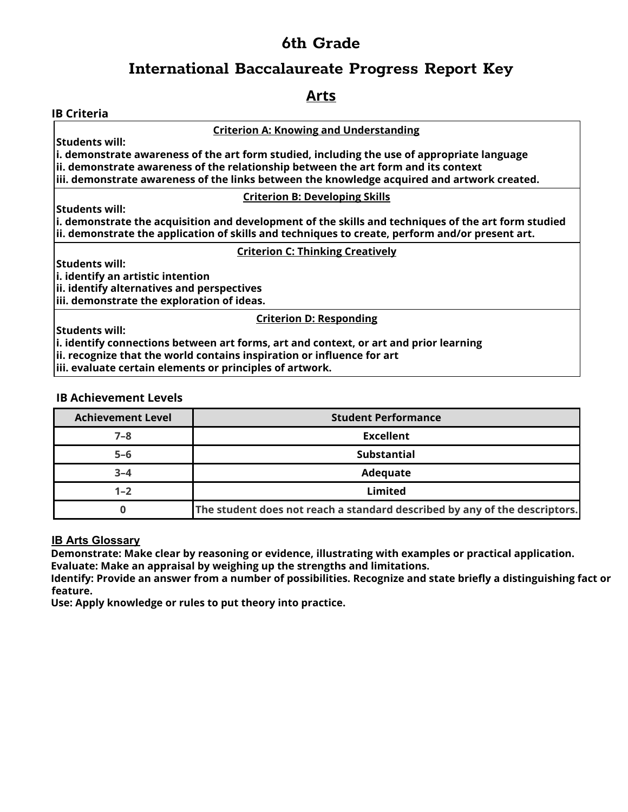## **International Baccalaureate Progress Report Key**

## **Arts**

### **IB Criteria**

**Criterion A: Knowing and Understanding**

**Students will:**

**i. demonstrate awareness of the art form studied, including the use of appropriate language ii. demonstrate awareness of the relationship between the art form and its context iii. demonstrate awareness of the links between the knowledge acquired and artwork created.**

### **Criterion B: Developing Skills**

**i. demonstrate the acquisition and development of the skills and techniques of the art form studied ii. demonstrate the application of skills and techniques to create, perform and/or present art.**

### **Criterion C: Thinking Creatively**

**Students will:**

**Students will:**

**i. identify an artistic intention**

**ii. identify alternatives and perspectives**

**iii. demonstrate the exploration of ideas.**

### **Criterion D: Responding**

**Students will:**

**i. identify connections between art forms, art and context, or art and prior learning**

**ii. recognize that the world contains inspiration or influence for art**

**iii. evaluate certain elements or principles of artwork.**

### **IB Achievement Levels**

| <b>Achievement Level</b> | <b>Student Performance</b>                                                 |
|--------------------------|----------------------------------------------------------------------------|
| $7 - 8$                  | Excellent                                                                  |
| $5 - 6$                  | <b>Substantial</b>                                                         |
| $3 - 4$                  | Adequate                                                                   |
| $1 - 2$                  | Limited                                                                    |
|                          | The student does not reach a standard described by any of the descriptors. |

### **IB Arts Glossary**

**Demonstrate: Make clear by reasoning or evidence, illustrating with examples or practical application. Evaluate: Make an appraisal by weighing up the strengths and limitations.**

Identify: Provide an answer from a number of possibilities. Recognize and state briefly a distinguishing fact or **feature.**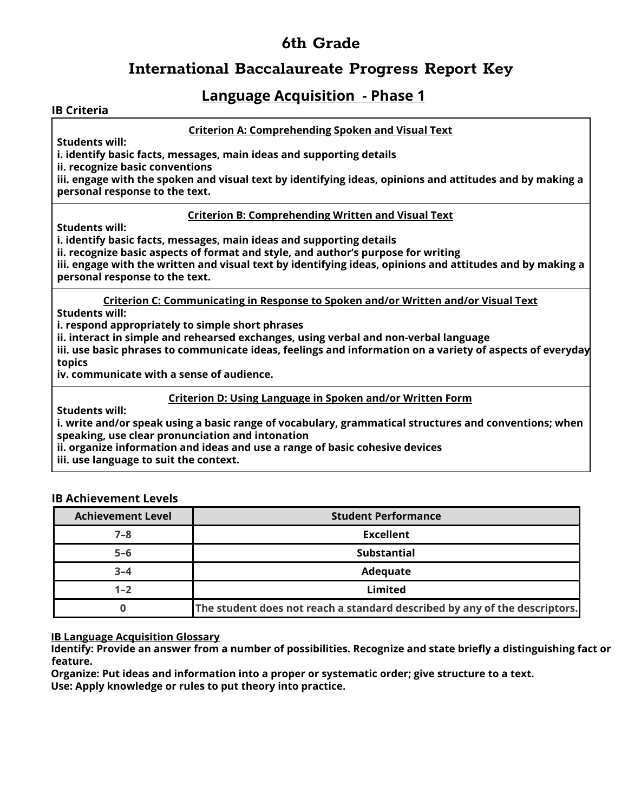## **International Baccalaureate Progress Report Key**

## **Language Acquisition - Phase 1**

### **IB Criteria**

### **Criterion A: Comprehending Spoken and Visual Text**

**Students will:**

**i. identify basic facts, messages, main ideas and supporting details**

**ii. recognize basic conventions**

iii. engage with the spoken and visual text by identifying ideas, opinions and attitudes and by making a **personal response to the text.**

### **Criterion B: Comprehending Written and Visual Text**

**Students will:**

**i. identify basic facts, messages, main ideas and supporting details**

**ii. recognize basic aspects of format and style, and author's purpose for writing**

iii. engage with the written and visual text by identifying ideas, opinions and attitudes and by making a **personal response to the text.**

**Criterion C: Communicating in Response to Spoken and/or Written and/or Visual Text Students will:**

**i. respond appropriately to simple short phrases**

**ii. interact in simple and rehearsed exchanges, using verbal and non-verbal language**

**iii. use basic phrases to communicate ideas, feelings and information on a variety of aspects of everyday topics**

**iv. communicate with a sense of audience.**

**Criterion D: Using Language in Spoken and/or Written Form**

**Students will:**

**i. write and/or speak using a basic range of vocabulary, grammatical structures and conventions; when speaking, use clear pronunciation and intonation**

**ii. organize information and ideas and use a range of basic cohesive devices iii. use language to suit the context.**

### **IB Achievement Levels**

| <b>Achievement Level</b> | <b>Student Performance</b>                                                 |
|--------------------------|----------------------------------------------------------------------------|
| $7 - 8$                  | <b>Excellent</b>                                                           |
| $5 - 6$                  | <b>Substantial</b>                                                         |
| $3 - 4$                  | Adequate                                                                   |
| $1 - 2$                  | <b>Limited</b>                                                             |
|                          | The student does not reach a standard described by any of the descriptors. |

### **IB Language Acquisition Glossary**

Identify: Provide an answer from a number of possibilities. Recognize and state briefly a distinguishing fact or **feature.**

**Organize: Put ideas and information into a proper or systematic order; give structure to a text.**